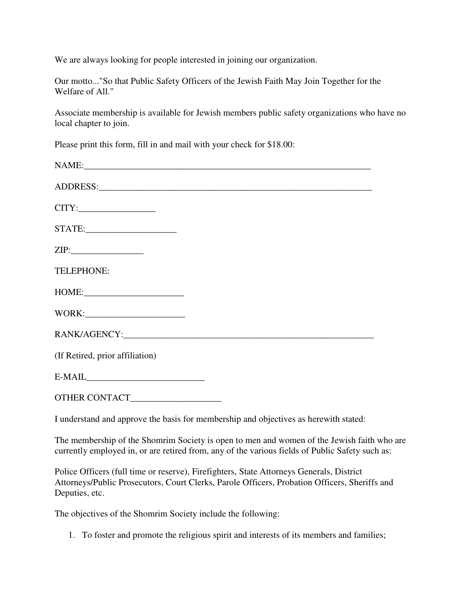We are always looking for people interested in joining our organization.

Our motto..."So that Public Safety Officers of the Jewish Faith May Join Together for the Welfare of All."

Associate membership is available for Jewish members public safety organizations who have no local chapter to join.

Please print this form, fill in and mail with your check for \$18.00:

| NAME:                           |
|---------------------------------|
|                                 |
|                                 |
| STATE:                          |
| ZIP:                            |
| TELEPHONE:                      |
| HOME:                           |
|                                 |
|                                 |
| (If Retired, prior affiliation) |
| $E-MAIL$                        |
|                                 |

I understand and approve the basis for membership and objectives as herewith stated:

The membership of the Shomrim Society is open to men and women of the Jewish faith who are currently employed in, or are retired from, any of the various fields of Public Safety such as:

Police Officers (full time or reserve), Firefighters, State Attorneys Generals, District Attorneys/Public Prosecutors, Court Clerks, Parole Officers, Probation Officers, Sheriffs and Deputies, etc.

The objectives of the Shomrim Society include the following:

1. To foster and promote the religious spirit and interests of its members and families;